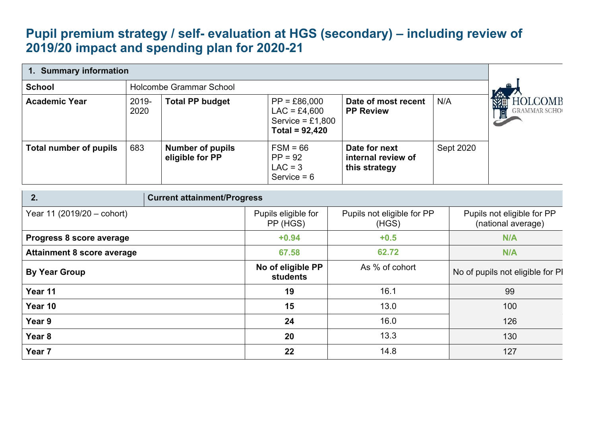## **Pupil premium strategy / self- evaluation at HGS (secondary) – including review of 2019/20 impact and spending plan for 2020-21**

| 1. Summary information            |               |                                            |                                                                            |                                                      |                                  |                                                  |  |
|-----------------------------------|---------------|--------------------------------------------|----------------------------------------------------------------------------|------------------------------------------------------|----------------------------------|--------------------------------------------------|--|
| <b>School</b>                     |               | <b>Holcombe Grammar School</b>             |                                                                            |                                                      |                                  |                                                  |  |
| <b>Academic Year</b>              | 2019-<br>2020 | <b>Total PP budget</b>                     | $PP = £86,000$<br>$LAC = £4,600$<br>Service = $£1,800$<br>Total = $92,420$ | Date of most recent<br><b>PP Review</b>              | N/A                              | OLCOMB<br><b>GRAMMAR SCHOO</b>                   |  |
| <b>Total number of pupils</b>     | 683           | <b>Number of pupils</b><br>eligible for PP | $FSM = 66$<br>$PP = 92$<br>$LAC = 3$<br>Service $= 6$                      | Date for next<br>internal review of<br>this strategy | Sept 2020                        |                                                  |  |
| 2.                                |               | <b>Current attainment/Progress</b>         |                                                                            |                                                      |                                  |                                                  |  |
| Year 11 (2019/20 - cohort)        |               |                                            | Pupils eligible for<br>PP (HGS)                                            | Pupils not eligible for PP<br>(HGS)                  |                                  | Pupils not eligible for PP<br>(national average) |  |
| Progress 8 score average          |               |                                            | $+0.94$                                                                    | $+0.5$                                               |                                  | N/A                                              |  |
| <b>Attainment 8 score average</b> |               |                                            | 67.58                                                                      | 62.72                                                |                                  | N/A                                              |  |
| <b>By Year Group</b>              |               | No of eligible PP<br>students              | As % of cohort                                                             |                                                      | No of pupils not eligible for PI |                                                  |  |
| Year 11                           |               | 19                                         | 16.1                                                                       |                                                      | 99                               |                                                  |  |
| Year 10                           |               | 15                                         | 13.0                                                                       |                                                      | 100                              |                                                  |  |
| Year 9                            |               | 24                                         | 16.0                                                                       |                                                      | 126                              |                                                  |  |
| Year <sub>8</sub>                 |               | 20                                         | 13.3                                                                       |                                                      | 130                              |                                                  |  |
| Year <sub>7</sub>                 |               | 22                                         | 14.8                                                                       |                                                      | 127                              |                                                  |  |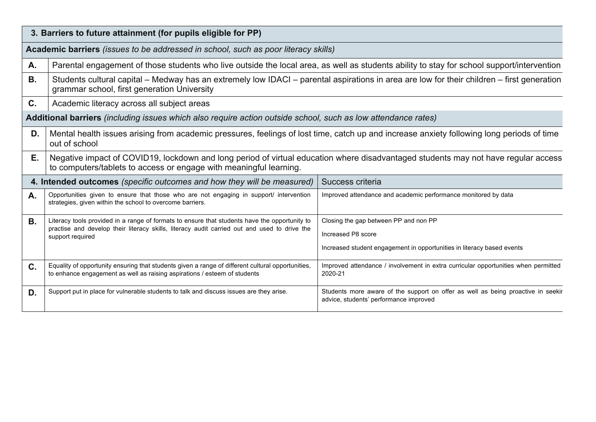|                | 3. Barriers to future attainment (for pupils eligible for PP)                                                                                                                                            |                                                                                                                            |  |  |  |  |  |
|----------------|----------------------------------------------------------------------------------------------------------------------------------------------------------------------------------------------------------|----------------------------------------------------------------------------------------------------------------------------|--|--|--|--|--|
|                | Academic barriers (issues to be addressed in school, such as poor literacy skills)                                                                                                                       |                                                                                                                            |  |  |  |  |  |
| A.             | Parental engagement of those students who live outside the local area, as well as students ability to stay for school support/intervention                                                               |                                                                                                                            |  |  |  |  |  |
| <b>B.</b>      | Students cultural capital – Medway has an extremely low IDACI – parental aspirations in area are low for their children – first generation<br>grammar school, first generation University                |                                                                                                                            |  |  |  |  |  |
| C.             | Academic literacy across all subject areas                                                                                                                                                               |                                                                                                                            |  |  |  |  |  |
|                | Additional barriers (including issues which also require action outside school, such as low attendance rates)                                                                                            |                                                                                                                            |  |  |  |  |  |
| D.             | Mental health issues arising from academic pressures, feelings of lost time, catch up and increase anxiety following long periods of time<br>out of school                                               |                                                                                                                            |  |  |  |  |  |
| Е.             | Negative impact of COVID19, lockdown and long period of virtual education where disadvantaged students may not have regular access<br>to computers/tablets to access or engage with meaningful learning. |                                                                                                                            |  |  |  |  |  |
|                | 4. Intended outcomes (specific outcomes and how they will be measured)                                                                                                                                   | Success criteria                                                                                                           |  |  |  |  |  |
| A.             | Opportunities given to ensure that those who are not engaging in support/ intervention<br>strategies, given within the school to overcome barriers.                                                      | Improved attendance and academic performance monitored by data                                                             |  |  |  |  |  |
| <b>B.</b>      | Literacy tools provided in a range of formats to ensure that students have the opportunity to                                                                                                            | Closing the gap between PP and non PP                                                                                      |  |  |  |  |  |
|                | practise and develop their literacy skills, literacy audit carried out and used to drive the<br>support required                                                                                         | Increased P8 score                                                                                                         |  |  |  |  |  |
|                | Increased student engagement in opportunities in literacy based events                                                                                                                                   |                                                                                                                            |  |  |  |  |  |
| $\mathbf{C}$ . | Equality of opportunity ensuring that students given a range of different cultural opportunities,<br>to enhance engagement as well as raising aspirations / esteem of students                           | Improved attendance / involvement in extra curricular opportunities when permitted<br>2020-21                              |  |  |  |  |  |
| D.             | Support put in place for vulnerable students to talk and discuss issues are they arise.                                                                                                                  | Students more aware of the support on offer as well as being proactive in seekir<br>advice, students' performance improved |  |  |  |  |  |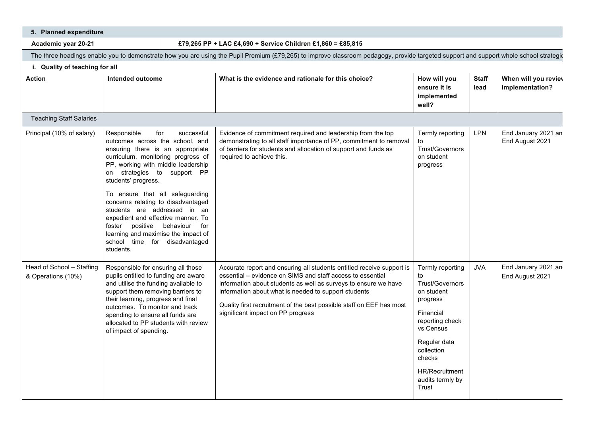| 5. Planned expenditure                          |                                                                                                                                                                                                                                                                                                                                                                                                                                                                           |                                      |                                                                                                                                                                                                                                                                                                                                                                             |                                                                                                                                                                                                         |                      |                                         |
|-------------------------------------------------|---------------------------------------------------------------------------------------------------------------------------------------------------------------------------------------------------------------------------------------------------------------------------------------------------------------------------------------------------------------------------------------------------------------------------------------------------------------------------|--------------------------------------|-----------------------------------------------------------------------------------------------------------------------------------------------------------------------------------------------------------------------------------------------------------------------------------------------------------------------------------------------------------------------------|---------------------------------------------------------------------------------------------------------------------------------------------------------------------------------------------------------|----------------------|-----------------------------------------|
| Academic year 20-21                             |                                                                                                                                                                                                                                                                                                                                                                                                                                                                           |                                      | £79,265 PP + LAC £4,690 + Service Children £1,860 = £85,815                                                                                                                                                                                                                                                                                                                 |                                                                                                                                                                                                         |                      |                                         |
|                                                 |                                                                                                                                                                                                                                                                                                                                                                                                                                                                           |                                      | The three headings enable you to demonstrate how you are using the Pupil Premium (£79,265) to improve classroom pedagogy, provide targeted support and support whole school strategiour                                                                                                                                                                                     |                                                                                                                                                                                                         |                      |                                         |
| i. Quality of teaching for all                  |                                                                                                                                                                                                                                                                                                                                                                                                                                                                           |                                      |                                                                                                                                                                                                                                                                                                                                                                             |                                                                                                                                                                                                         |                      |                                         |
| <b>Action</b>                                   | <b>Intended outcome</b>                                                                                                                                                                                                                                                                                                                                                                                                                                                   |                                      | What is the evidence and rationale for this choice?                                                                                                                                                                                                                                                                                                                         | How will you<br>ensure it is<br>implemented<br>well?                                                                                                                                                    | <b>Staff</b><br>lead | When will you reviev<br>implementation? |
| <b>Teaching Staff Salaries</b>                  |                                                                                                                                                                                                                                                                                                                                                                                                                                                                           |                                      |                                                                                                                                                                                                                                                                                                                                                                             |                                                                                                                                                                                                         |                      |                                         |
| Principal (10% of salary)                       | Responsible<br>for<br>outcomes across the school, and<br>ensuring there is an appropriate<br>curriculum, monitoring progress of<br>PP, working with middle leadership<br>on strategies to support PP<br>students' progress.<br>To ensure that all safeguarding<br>concerns relating to disadvantaged<br>students are addressed in an<br>expedient and effective manner. To<br>foster<br>learning and maximise the impact of<br>school time for disadvantaged<br>students. | successful<br>positive behaviour for | Evidence of commitment required and leadership from the top<br>demonstrating to all staff importance of PP, commitment to removal<br>of barriers for students and allocation of support and funds as<br>required to achieve this.                                                                                                                                           | Termly reporting<br>to<br>Trust/Governors<br>on student<br>progress                                                                                                                                     | <b>LPN</b>           | End January 2021 an<br>End August 2021  |
| Head of School - Staffing<br>& Operations (10%) | Responsible for ensuring all those<br>pupils entitled to funding are aware<br>and utilise the funding available to<br>support them removing barriers to<br>their learning, progress and final<br>outcomes. To monitor and track<br>spending to ensure all funds are<br>allocated to PP students with review<br>of impact of spending.                                                                                                                                     |                                      | Accurate report and ensuring all students entitled receive support is<br>essential - evidence on SIMS and staff access to essential<br>information about students as well as surveys to ensure we have<br>information about what is needed to support students<br>Quality first recruitment of the best possible staff on EEF has most<br>significant impact on PP progress | Termly reporting<br>to<br>Trust/Governors<br>on student<br>progress<br>Financial<br>reporting check<br>vs Census<br>Regular data<br>collection<br>checks<br>HR/Recruitment<br>audits termly by<br>Trust | <b>JVA</b>           | End January 2021 an<br>End August 2021  |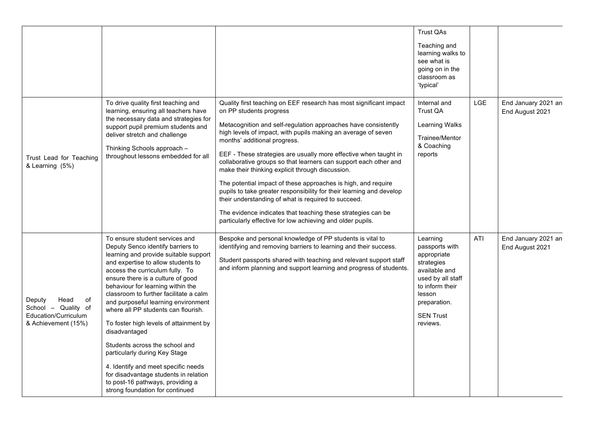|                                                                                            |                                                                                                                                                                                                                                                                                                                                                                                                                                                                                                                                                                                                                                                                              |                                                                                                                                                                                                                                                                                                                                                                                                                                                                                                                                                                                                                                                                                                                                                                                            | <b>Trust QAs</b>                                                                                                                                                           |     |                                        |
|--------------------------------------------------------------------------------------------|------------------------------------------------------------------------------------------------------------------------------------------------------------------------------------------------------------------------------------------------------------------------------------------------------------------------------------------------------------------------------------------------------------------------------------------------------------------------------------------------------------------------------------------------------------------------------------------------------------------------------------------------------------------------------|--------------------------------------------------------------------------------------------------------------------------------------------------------------------------------------------------------------------------------------------------------------------------------------------------------------------------------------------------------------------------------------------------------------------------------------------------------------------------------------------------------------------------------------------------------------------------------------------------------------------------------------------------------------------------------------------------------------------------------------------------------------------------------------------|----------------------------------------------------------------------------------------------------------------------------------------------------------------------------|-----|----------------------------------------|
|                                                                                            |                                                                                                                                                                                                                                                                                                                                                                                                                                                                                                                                                                                                                                                                              |                                                                                                                                                                                                                                                                                                                                                                                                                                                                                                                                                                                                                                                                                                                                                                                            | Teaching and<br>learning walks to<br>see what is<br>going on in the<br>classroom as<br>'typical'                                                                           |     |                                        |
| Trust Lead for Teaching<br>& Learning (5%)                                                 | To drive quality first teaching and<br>learning, ensuring all teachers have<br>the necessary data and strategies for<br>support pupil premium students and<br>deliver stretch and challenge<br>Thinking Schools approach -<br>throughout lessons embedded for all                                                                                                                                                                                                                                                                                                                                                                                                            | Quality first teaching on EEF research has most significant impact<br>on PP students progress<br>Metacognition and self-regulation approaches have consistently<br>high levels of impact, with pupils making an average of seven<br>months' additional progress.<br>EEF - These strategies are usually more effective when taught in<br>collaborative groups so that learners can support each other and<br>make their thinking explicit through discussion.<br>The potential impact of these approaches is high, and require<br>pupils to take greater responsibility for their learning and develop<br>their understanding of what is required to succeed.<br>The evidence indicates that teaching these strategies can be<br>particularly effective for low achieving and older pupils. | Internal and<br>Trust QA<br>Learning Walks<br>Trainee/Mentor<br>& Coaching<br>reports                                                                                      | LGE | End January 2021 an<br>End August 2021 |
| Deputy<br>Head<br>οf<br>School - Quality of<br>Education/Curriculum<br>& Achievement (15%) | To ensure student services and<br>Deputy Senco identify barriers to<br>learning and provide suitable support<br>and expertise to allow students to<br>access the curriculum fully. To<br>ensure there is a culture of good<br>behaviour for learning within the<br>classroom to further facilitate a calm<br>and purposeful learning environment<br>where all PP students can flourish.<br>To foster high levels of attainment by<br>disadvantaged<br>Students across the school and<br>particularly during Key Stage<br>4. Identify and meet specific needs<br>for disadvantage students in relation<br>to post-16 pathways, providing a<br>strong foundation for continued | Bespoke and personal knowledge of PP students is vital to<br>identifying and removing barriers to learning and their success.<br>Student passports shared with teaching and relevant support staff<br>and inform planning and support learning and progress of students.                                                                                                                                                                                                                                                                                                                                                                                                                                                                                                                   | Learning<br>passports with<br>appropriate<br>strategies<br>available and<br>used by all staff<br>to inform their<br>lesson<br>preparation.<br><b>SEN Trust</b><br>reviews. | ATI | End January 2021 an<br>End August 2021 |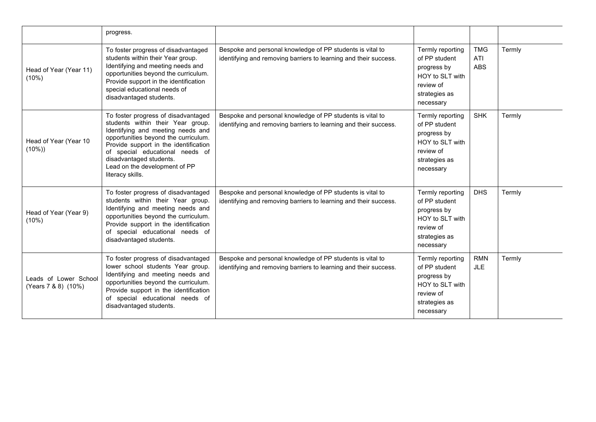|                                              | progress.                                                                                                                                                                                                                                                                                                         |                                                                                                                               |                                                                                                                |                                 |        |
|----------------------------------------------|-------------------------------------------------------------------------------------------------------------------------------------------------------------------------------------------------------------------------------------------------------------------------------------------------------------------|-------------------------------------------------------------------------------------------------------------------------------|----------------------------------------------------------------------------------------------------------------|---------------------------------|--------|
| Head of Year (Year 11)<br>(10%)              | To foster progress of disadvantaged<br>students within their Year group.<br>Identifying and meeting needs and<br>opportunities beyond the curriculum.<br>Provide support in the identification<br>special educational needs of<br>disadvantaged students.                                                         | Bespoke and personal knowledge of PP students is vital to<br>identifying and removing barriers to learning and their success. | Termly reporting<br>of PP student<br>progress by<br>HOY to SLT with<br>review of<br>strategies as<br>necessary | <b>TMG</b><br>ATI<br><b>ABS</b> | Termly |
| Head of Year (Year 10<br>(10%)               | To foster progress of disadvantaged<br>students within their Year group.<br>Identifying and meeting needs and<br>opportunities beyond the curriculum.<br>Provide support in the identification<br>of special educational needs of<br>disadvantaged students.<br>Lead on the development of PP<br>literacy skills. | Bespoke and personal knowledge of PP students is vital to<br>identifying and removing barriers to learning and their success. | Termly reporting<br>of PP student<br>progress by<br>HOY to SLT with<br>review of<br>strategies as<br>necessary | <b>SHK</b>                      | Termly |
| Head of Year (Year 9)<br>(10%)               | To foster progress of disadvantaged<br>students within their Year group.<br>Identifying and meeting needs and<br>opportunities beyond the curriculum.<br>Provide support in the identification<br>of special educational needs of<br>disadvantaged students.                                                      | Bespoke and personal knowledge of PP students is vital to<br>identifying and removing barriers to learning and their success. | Termly reporting<br>of PP student<br>progress by<br>HOY to SLT with<br>review of<br>strategies as<br>necessary | <b>DHS</b>                      | Termly |
| Leads of Lower School<br>(Years 7 & 8) (10%) | To foster progress of disadvantaged<br>lower school students Year group.<br>Identifying and meeting needs and<br>opportunities beyond the curriculum.<br>Provide support in the identification<br>of special educational needs of<br>disadvantaged students.                                                      | Bespoke and personal knowledge of PP students is vital to<br>identifying and removing barriers to learning and their success. | Termly reporting<br>of PP student<br>progress by<br>HOY to SLT with<br>review of<br>strategies as<br>necessary | <b>RMN</b><br>JLE               | Termly |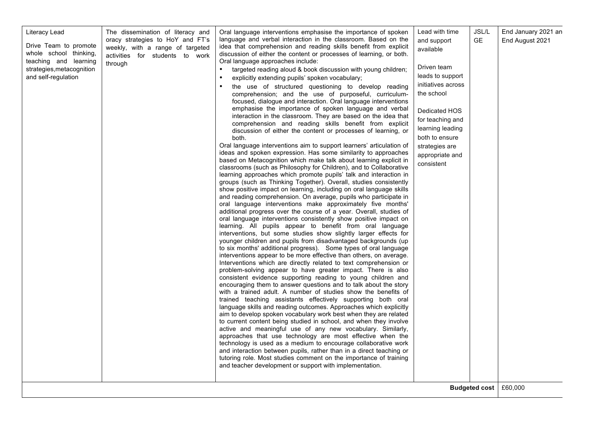| Literacy Lead<br>Drive Team to promote<br>whole school thinking,<br>teaching and learning<br>strategies, metacognition<br>and self-regulation | The dissemination of literacy and<br>oracy strategies to HoY and FT's<br>weekly, with a range of targeted<br>activities for students to work<br>through | Oral language interventions emphasise the importance of spoken<br>language and verbal interaction in the classroom. Based on the<br>idea that comprehension and reading skills benefit from explicit<br>discussion of either the content or processes of learning, or both.<br>Oral language approaches include:<br>targeted reading aloud & book discussion with young children;<br>explicitly extending pupils' spoken vocabulary;<br>the use of structured questioning to develop reading<br>$\bullet$<br>comprehension; and the use of purposeful, curriculum-<br>focused, dialogue and interaction. Oral language interventions<br>emphasise the importance of spoken language and verbal<br>interaction in the classroom. They are based on the idea that<br>comprehension and reading skills benefit from explicit<br>discussion of either the content or processes of learning, or<br>both.<br>Oral language interventions aim to support learners' articulation of<br>ideas and spoken expression. Has some similarity to approaches<br>based on Metacognition which make talk about learning explicit in<br>classrooms (such as Philosophy for Children), and to Collaborative<br>learning approaches which promote pupils' talk and interaction in<br>groups (such as Thinking Together). Overall, studies consistently<br>show positive impact on learning, including on oral language skills<br>and reading comprehension. On average, pupils who participate in<br>oral language interventions make approximately five months'<br>additional progress over the course of a year. Overall, studies of<br>oral language interventions consistently show positive impact on<br>learning. All pupils appear to benefit from oral language<br>interventions, but some studies show slightly larger effects for<br>younger children and pupils from disadvantaged backgrounds (up<br>to six months' additional progress). Some types of oral language<br>interventions appear to be more effective than others, on average.<br>Interventions which are directly related to text comprehension or<br>problem-solving appear to have greater impact. There is also<br>consistent evidence supporting reading to young children and<br>encouraging them to answer questions and to talk about the story<br>with a trained adult. A number of studies show the benefits of<br>trained teaching assistants effectively supporting both oral<br>language skills and reading outcomes. Approaches which explicitly<br>aim to develop spoken vocabulary work best when they are related<br>to current content being studied in school, and when they involve<br>active and meaningful use of any new vocabulary. Similarly,<br>approaches that use technology are most effective when the<br>technology is used as a medium to encourage collaborative work<br>and interaction between pupils, rather than in a direct teaching or<br>tutoring role. Most studies comment on the importance of training<br>and teacher development or support with implementation. | Lead with time<br>and support<br>available<br>Driven team<br>leads to support<br>initiatives across<br>the school<br>Dedicated HOS<br>for teaching and<br>learning leading<br>both to ensure<br>strategies are<br>appropriate and<br>consistent | JSL/L<br><b>GE</b> | End January 2021 an<br>End August 2021<br><b>Budgeted cost</b>   £60,000 |
|-----------------------------------------------------------------------------------------------------------------------------------------------|---------------------------------------------------------------------------------------------------------------------------------------------------------|--------------------------------------------------------------------------------------------------------------------------------------------------------------------------------------------------------------------------------------------------------------------------------------------------------------------------------------------------------------------------------------------------------------------------------------------------------------------------------------------------------------------------------------------------------------------------------------------------------------------------------------------------------------------------------------------------------------------------------------------------------------------------------------------------------------------------------------------------------------------------------------------------------------------------------------------------------------------------------------------------------------------------------------------------------------------------------------------------------------------------------------------------------------------------------------------------------------------------------------------------------------------------------------------------------------------------------------------------------------------------------------------------------------------------------------------------------------------------------------------------------------------------------------------------------------------------------------------------------------------------------------------------------------------------------------------------------------------------------------------------------------------------------------------------------------------------------------------------------------------------------------------------------------------------------------------------------------------------------------------------------------------------------------------------------------------------------------------------------------------------------------------------------------------------------------------------------------------------------------------------------------------------------------------------------------------------------------------------------------------------------------------------------------------------------------------------------------------------------------------------------------------------------------------------------------------------------------------------------------------------------------------------------------------------------------------------------------------------------------------------------------------------------------------------------------------------------------------------------------------------------------------------------------------------------------------------------------------------------------------------------------------------------------------------------------------|-------------------------------------------------------------------------------------------------------------------------------------------------------------------------------------------------------------------------------------------------|--------------------|--------------------------------------------------------------------------|
|-----------------------------------------------------------------------------------------------------------------------------------------------|---------------------------------------------------------------------------------------------------------------------------------------------------------|--------------------------------------------------------------------------------------------------------------------------------------------------------------------------------------------------------------------------------------------------------------------------------------------------------------------------------------------------------------------------------------------------------------------------------------------------------------------------------------------------------------------------------------------------------------------------------------------------------------------------------------------------------------------------------------------------------------------------------------------------------------------------------------------------------------------------------------------------------------------------------------------------------------------------------------------------------------------------------------------------------------------------------------------------------------------------------------------------------------------------------------------------------------------------------------------------------------------------------------------------------------------------------------------------------------------------------------------------------------------------------------------------------------------------------------------------------------------------------------------------------------------------------------------------------------------------------------------------------------------------------------------------------------------------------------------------------------------------------------------------------------------------------------------------------------------------------------------------------------------------------------------------------------------------------------------------------------------------------------------------------------------------------------------------------------------------------------------------------------------------------------------------------------------------------------------------------------------------------------------------------------------------------------------------------------------------------------------------------------------------------------------------------------------------------------------------------------------------------------------------------------------------------------------------------------------------------------------------------------------------------------------------------------------------------------------------------------------------------------------------------------------------------------------------------------------------------------------------------------------------------------------------------------------------------------------------------------------------------------------------------------------------------------------------------------------|-------------------------------------------------------------------------------------------------------------------------------------------------------------------------------------------------------------------------------------------------|--------------------|--------------------------------------------------------------------------|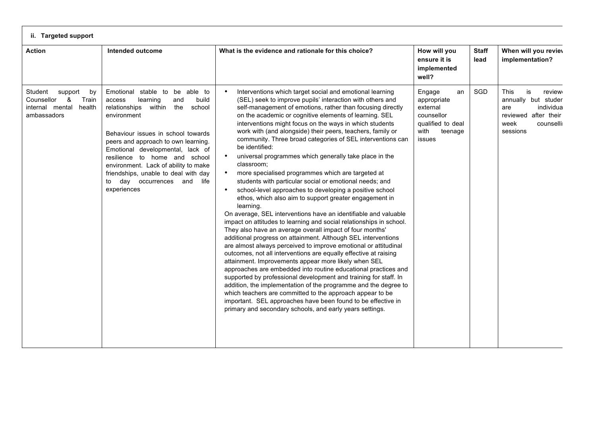| <b>Action</b>                                                                                    | <b>Intended outcome</b>                                                                                                                                                                                                                                                                                                                                                                                               | What is the evidence and rationale for this choice?                                                                                                                                                                                                                                                                                                                                                                                                                                                                                                                                                                                                                                                                                                                                                                                                                                                                                                                                                                                                                                                                                                                                                                                                                                                                                                                                                                                                                                                                                                                                                                                                                                             | How will you<br>ensure it is<br>implemented<br>well?                                                    | <b>Staff</b><br>lead | When will you reviev<br>implementation?                                                                                         |
|--------------------------------------------------------------------------------------------------|-----------------------------------------------------------------------------------------------------------------------------------------------------------------------------------------------------------------------------------------------------------------------------------------------------------------------------------------------------------------------------------------------------------------------|-------------------------------------------------------------------------------------------------------------------------------------------------------------------------------------------------------------------------------------------------------------------------------------------------------------------------------------------------------------------------------------------------------------------------------------------------------------------------------------------------------------------------------------------------------------------------------------------------------------------------------------------------------------------------------------------------------------------------------------------------------------------------------------------------------------------------------------------------------------------------------------------------------------------------------------------------------------------------------------------------------------------------------------------------------------------------------------------------------------------------------------------------------------------------------------------------------------------------------------------------------------------------------------------------------------------------------------------------------------------------------------------------------------------------------------------------------------------------------------------------------------------------------------------------------------------------------------------------------------------------------------------------------------------------------------------------|---------------------------------------------------------------------------------------------------------|----------------------|---------------------------------------------------------------------------------------------------------------------------------|
| Student<br>support<br>by<br>Counsellor<br>&<br>Train<br>internal mental<br>health<br>ambassadors | Emotional stable to be able to<br>build<br>learning<br>access<br>and<br>the<br>relationships<br>within<br>school<br>environment<br>Behaviour issues in school towards<br>peers and approach to own learning.<br>Emotional developmental, lack of<br>resilience to home and school<br>environment. Lack of ability to make<br>friendships, unable to deal with day<br>day occurrences and<br>life<br>to<br>experiences | Interventions which target social and emotional learning<br>$\bullet$<br>(SEL) seek to improve pupils' interaction with others and<br>self-management of emotions, rather than focusing directly<br>on the academic or cognitive elements of learning. SEL<br>interventions might focus on the ways in which students<br>work with (and alongside) their peers, teachers, family or<br>community. Three broad categories of SEL interventions can<br>be identified:<br>universal programmes which generally take place in the<br>$\bullet$<br>classroom;<br>more specialised programmes which are targeted at<br>$\bullet$<br>students with particular social or emotional needs; and<br>school-level approaches to developing a positive school<br>ethos, which also aim to support greater engagement in<br>learning.<br>On average, SEL interventions have an identifiable and valuable<br>impact on attitudes to learning and social relationships in school.<br>They also have an average overall impact of four months'<br>additional progress on attainment. Although SEL interventions<br>are almost always perceived to improve emotional or attitudinal<br>outcomes, not all interventions are equally effective at raising<br>attainment. Improvements appear more likely when SEL<br>approaches are embedded into routine educational practices and<br>supported by professional development and training for staff. In<br>addition, the implementation of the programme and the degree to<br>which teachers are committed to the approach appear to be<br>important. SEL approaches have been found to be effective in<br>primary and secondary schools, and early years settings. | Engage<br>an<br>appropriate<br>external<br>counsellor<br>qualified to deal<br>with<br>teenage<br>issues | SGD                  | is<br><b>This</b><br>review<br>annually but studer<br>individua<br>are<br>reviewed after their<br>counselli<br>week<br>sessions |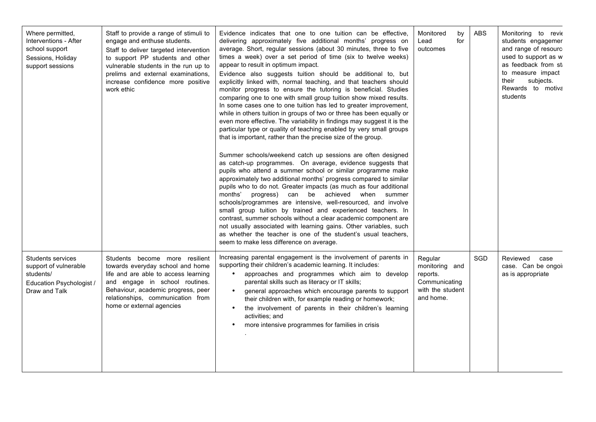| Where permitted,                                                                                     | Staff to provide a range of stimuli to                                                                                                                                                                                                               | Evidence indicates that one to one tuition can be effective,                                                                                                                                                                                                                                                                                                                                                                                                                                                                                                                                                                                                                                                                                                                                                                                                                                                                                                                                                                                                                                                                                                                                                                                                                                                                                                                                                                                                                                                                                          | Monitored<br>by                                                                         | <b>ABS</b> | Monitoring to revie                                                                                                                                                   |
|------------------------------------------------------------------------------------------------------|------------------------------------------------------------------------------------------------------------------------------------------------------------------------------------------------------------------------------------------------------|-------------------------------------------------------------------------------------------------------------------------------------------------------------------------------------------------------------------------------------------------------------------------------------------------------------------------------------------------------------------------------------------------------------------------------------------------------------------------------------------------------------------------------------------------------------------------------------------------------------------------------------------------------------------------------------------------------------------------------------------------------------------------------------------------------------------------------------------------------------------------------------------------------------------------------------------------------------------------------------------------------------------------------------------------------------------------------------------------------------------------------------------------------------------------------------------------------------------------------------------------------------------------------------------------------------------------------------------------------------------------------------------------------------------------------------------------------------------------------------------------------------------------------------------------------|-----------------------------------------------------------------------------------------|------------|-----------------------------------------------------------------------------------------------------------------------------------------------------------------------|
| Interventions - After<br>school support<br>Sessions, Holiday<br>support sessions                     | engage and enthuse students.<br>Staff to deliver targeted intervention<br>to support PP students and other<br>vulnerable students in the run up to<br>prelims and external examinations,<br>increase confidence more positive<br>work ethic          | delivering approximately five additional months' progress on<br>average. Short, regular sessions (about 30 minutes, three to five<br>times a week) over a set period of time (six to twelve weeks)<br>appear to result in optimum impact.<br>Evidence also suggests tuition should be additional to, but<br>explicitly linked with, normal teaching, and that teachers should<br>monitor progress to ensure the tutoring is beneficial. Studies<br>comparing one to one with small group tuition show mixed results.<br>In some cases one to one tuition has led to greater improvement,<br>while in others tuition in groups of two or three has been equally or<br>even more effective. The variability in findings may suggest it is the<br>particular type or quality of teaching enabled by very small groups<br>that is important, rather than the precise size of the group.<br>Summer schools/weekend catch up sessions are often designed<br>as catch-up programmes. On average, evidence suggests that<br>pupils who attend a summer school or similar programme make<br>approximately two additional months' progress compared to similar<br>pupils who to do not. Greater impacts (as much as four additional<br>months'<br>progress) can be achieved when summer<br>schools/programmes are intensive, well-resourced, and involve<br>small group tuition by trained and experienced teachers. In<br>contrast, summer schools without a clear academic component are<br>not usually associated with learning gains. Other variables, such | for<br>Lead<br>outcomes                                                                 |            | students engagemer<br>and range of resourc<br>used to support as w<br>as feedback from st<br>to measure impact<br>subjects.<br>their<br>Rewards to motiva<br>students |
|                                                                                                      |                                                                                                                                                                                                                                                      | as whether the teacher is one of the student's usual teachers,<br>seem to make less difference on average.                                                                                                                                                                                                                                                                                                                                                                                                                                                                                                                                                                                                                                                                                                                                                                                                                                                                                                                                                                                                                                                                                                                                                                                                                                                                                                                                                                                                                                            |                                                                                         |            |                                                                                                                                                                       |
| Students services<br>support of vulnerable<br>students/<br>Education Psychologist /<br>Draw and Talk | Students become more resilient<br>towards everyday school and home<br>life and are able to access learning<br>and engage in school routines.<br>Behaviour, academic progress, peer<br>relationships, communication from<br>home or external agencies | Increasing parental engagement is the involvement of parents in<br>supporting their children's academic learning. It includes:<br>approaches and programmes which aim to develop<br>parental skills such as literacy or IT skills;<br>general approaches which encourage parents to support<br>their children with, for example reading or homework;<br>the involvement of parents in their children's learning<br>activities; and<br>more intensive programmes for families in crisis<br>$\bullet$                                                                                                                                                                                                                                                                                                                                                                                                                                                                                                                                                                                                                                                                                                                                                                                                                                                                                                                                                                                                                                                   | Regular<br>monitoring and<br>reports.<br>Communicating<br>with the student<br>and home. | SGD        | Reviewed<br>case<br>case. Can be ongoi<br>as is appropriate                                                                                                           |
|                                                                                                      |                                                                                                                                                                                                                                                      |                                                                                                                                                                                                                                                                                                                                                                                                                                                                                                                                                                                                                                                                                                                                                                                                                                                                                                                                                                                                                                                                                                                                                                                                                                                                                                                                                                                                                                                                                                                                                       |                                                                                         |            |                                                                                                                                                                       |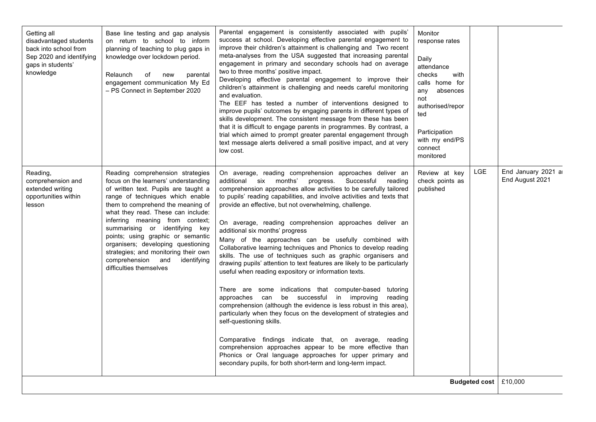| Getting all<br>disadvantaged students<br>back into school from<br>Sep 2020 and identifying<br>gaps in students'<br>knowledge | Base line testing and gap analysis<br>on return to school to inform<br>planning of teaching to plug gaps in<br>knowledge over lockdown period.<br>Relaunch<br>of<br>new<br>parental<br>engagement communication My Ed<br>- PS Connect in September 2020                                                                                                                                                                                                                                | Parental engagement is consistently associated with pupils'<br>success at school. Developing effective parental engagement to<br>improve their children's attainment is challenging and Two recent<br>meta-analyses from the USA suggested that increasing parental<br>engagement in primary and secondary schools had on average<br>two to three months' positive impact.<br>Developing effective parental engagement to improve their<br>children's attainment is challenging and needs careful monitoring<br>and evaluation.<br>The EEF has tested a number of interventions designed to<br>improve pupils' outcomes by engaging parents in different types of<br>skills development. The consistent message from these has been<br>that it is difficult to engage parents in programmes. By contrast, a<br>trial which aimed to prompt greater parental engagement through<br>text message alerts delivered a small positive impact, and at very<br>low cost.                                                                                                                                                                                                                                                                                                                                             | Monitor<br>response rates<br>Daily<br>attendance<br>checks<br>with<br>calls home for<br>any<br>absences<br>not<br>authorised/repor<br>ted<br>Participation<br>with my end/PS<br>connect<br>monitored |     |                                       |
|------------------------------------------------------------------------------------------------------------------------------|----------------------------------------------------------------------------------------------------------------------------------------------------------------------------------------------------------------------------------------------------------------------------------------------------------------------------------------------------------------------------------------------------------------------------------------------------------------------------------------|---------------------------------------------------------------------------------------------------------------------------------------------------------------------------------------------------------------------------------------------------------------------------------------------------------------------------------------------------------------------------------------------------------------------------------------------------------------------------------------------------------------------------------------------------------------------------------------------------------------------------------------------------------------------------------------------------------------------------------------------------------------------------------------------------------------------------------------------------------------------------------------------------------------------------------------------------------------------------------------------------------------------------------------------------------------------------------------------------------------------------------------------------------------------------------------------------------------------------------------------------------------------------------------------------------------|------------------------------------------------------------------------------------------------------------------------------------------------------------------------------------------------------|-----|---------------------------------------|
| Reading,<br>comprehension and<br>extended writing<br>opportunities within<br>lesson                                          | Reading comprehension strategies<br>focus on the learners' understanding<br>of written text. Pupils are taught a<br>range of techniques which enable<br>them to comprehend the meaning of<br>what they read. These can include:<br>inferring meaning from context;<br>summarising or identifying key<br>points; using graphic or semantic<br>organisers; developing questioning<br>strategies; and monitoring their own<br>comprehension and<br>identifying<br>difficulties themselves | On average, reading comprehension approaches deliver an<br>additional six months'<br>Successful<br>progress.<br>reading<br>comprehension approaches allow activities to be carefully tailored<br>to pupils' reading capabilities, and involve activities and texts that<br>provide an effective, but not overwhelming, challenge.<br>On average, reading comprehension approaches deliver an<br>additional six months' progress<br>Many of the approaches can be usefully combined with<br>Collaborative learning techniques and Phonics to develop reading<br>skills. The use of techniques such as graphic organisers and<br>drawing pupils' attention to text features are likely to be particularly<br>useful when reading expository or information texts.<br>There are some indications that computer-based tutoring<br>approaches can be successful in improving<br>reading<br>comprehension (although the evidence is less robust in this area),<br>particularly when they focus on the development of strategies and<br>self-questioning skills.<br>Comparative findings indicate that, on average, reading<br>comprehension approaches appear to be more effective than<br>Phonics or Oral language approaches for upper primary and<br>secondary pupils, for both short-term and long-term impact. | Review at key<br>check points as<br>published                                                                                                                                                        | LGE | End January 2021 a<br>End August 2021 |
| Budgeted cost                                                                                                                |                                                                                                                                                                                                                                                                                                                                                                                                                                                                                        |                                                                                                                                                                                                                                                                                                                                                                                                                                                                                                                                                                                                                                                                                                                                                                                                                                                                                                                                                                                                                                                                                                                                                                                                                                                                                                               |                                                                                                                                                                                                      |     | £10,000                               |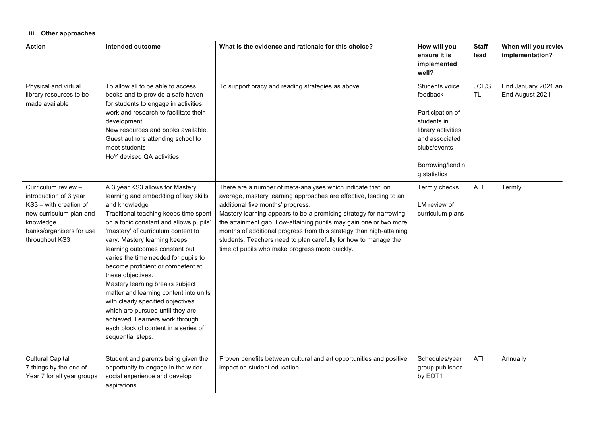| iii. Other approaches                                                                                                                                         |                                                                                                                                                                                                                                                                                                                                                                                                                                                                                                                                                                                                                                             |                                                                                                                                                                                                                                                                                                                                                                                                                                                                                                              |                                                                                                                                                           |                      |                                         |
|---------------------------------------------------------------------------------------------------------------------------------------------------------------|---------------------------------------------------------------------------------------------------------------------------------------------------------------------------------------------------------------------------------------------------------------------------------------------------------------------------------------------------------------------------------------------------------------------------------------------------------------------------------------------------------------------------------------------------------------------------------------------------------------------------------------------|--------------------------------------------------------------------------------------------------------------------------------------------------------------------------------------------------------------------------------------------------------------------------------------------------------------------------------------------------------------------------------------------------------------------------------------------------------------------------------------------------------------|-----------------------------------------------------------------------------------------------------------------------------------------------------------|----------------------|-----------------------------------------|
| <b>Action</b>                                                                                                                                                 | Intended outcome                                                                                                                                                                                                                                                                                                                                                                                                                                                                                                                                                                                                                            | What is the evidence and rationale for this choice?                                                                                                                                                                                                                                                                                                                                                                                                                                                          | How will you<br>ensure it is<br>implemented<br>well?                                                                                                      | <b>Staff</b><br>lead | When will you reviev<br>implementation? |
| Physical and virtual<br>library resources to be<br>made available                                                                                             | To allow all to be able to access<br>books and to provide a safe haven<br>for students to engage in activities,<br>work and research to facilitate their<br>development<br>New resources and books available.<br>Guest authors attending school to<br>meet students<br>HoY devised QA activities                                                                                                                                                                                                                                                                                                                                            | To support oracy and reading strategies as above                                                                                                                                                                                                                                                                                                                                                                                                                                                             | Students voice<br>feedback<br>Participation of<br>students in<br>library activities<br>and associated<br>clubs/events<br>Borrowing/lendin<br>g statistics | JCL/S<br><b>TL</b>   | End January 2021 an<br>End August 2021  |
| Curriculum review -<br>introduction of 3 year<br>KS3 - with creation of<br>new curriculum plan and<br>knowledge<br>banks/organisers for use<br>throughout KS3 | A 3 year KS3 allows for Mastery<br>learning and embedding of key skills<br>and knowledge<br>Traditional teaching keeps time spent<br>on a topic constant and allows pupils'<br>'mastery' of curriculum content to<br>vary. Mastery learning keeps<br>learning outcomes constant but<br>varies the time needed for pupils to<br>become proficient or competent at<br>these objectives.<br>Mastery learning breaks subject<br>matter and learning content into units<br>with clearly specified objectives<br>which are pursued until they are<br>achieved. Learners work through<br>each block of content in a series of<br>sequential steps. | There are a number of meta-analyses which indicate that, on<br>average, mastery learning approaches are effective, leading to an<br>additional five months' progress.<br>Mastery learning appears to be a promising strategy for narrowing<br>the attainment gap. Low-attaining pupils may gain one or two more<br>months of additional progress from this strategy than high-attaining<br>students. Teachers need to plan carefully for how to manage the<br>time of pupils who make progress more quickly. | Termly checks<br>LM review of<br>curriculum plans                                                                                                         | ATI                  | Termly                                  |
| <b>Cultural Capital</b><br>7 things by the end of<br>Year 7 for all year groups                                                                               | Student and parents being given the<br>opportunity to engage in the wider<br>social experience and develop<br>aspirations                                                                                                                                                                                                                                                                                                                                                                                                                                                                                                                   | Proven benefits between cultural and art opportunities and positive<br>impact on student education                                                                                                                                                                                                                                                                                                                                                                                                           | Schedules/year<br>group published<br>by EOT1                                                                                                              | ATI                  | Annually                                |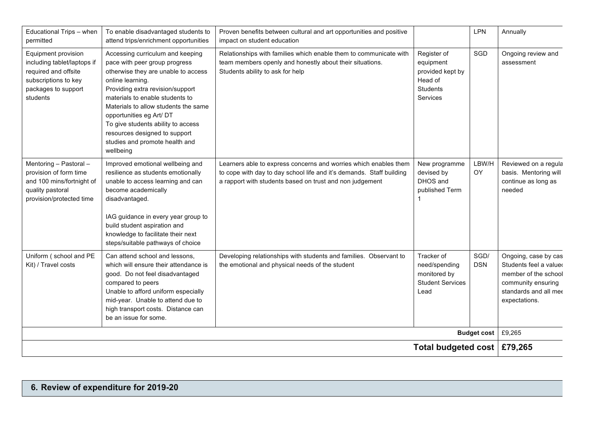| Educational Trips - when<br>permitted                                                                                                 | To enable disadvantaged students to<br>attend trips/enrichment opportunities                                                                                                                                                                                                                                                                                                                  | Proven benefits between cultural and art opportunities and positive<br>impact on student education                                                                                                   |                                                                                 | LPN                | Annually                                                                                                                               |
|---------------------------------------------------------------------------------------------------------------------------------------|-----------------------------------------------------------------------------------------------------------------------------------------------------------------------------------------------------------------------------------------------------------------------------------------------------------------------------------------------------------------------------------------------|------------------------------------------------------------------------------------------------------------------------------------------------------------------------------------------------------|---------------------------------------------------------------------------------|--------------------|----------------------------------------------------------------------------------------------------------------------------------------|
| Equipment provision<br>including tablet/laptops if<br>required and offsite<br>subscriptions to key<br>packages to support<br>students | Accessing curriculum and keeping<br>pace with peer group progress<br>otherwise they are unable to access<br>online learning.<br>Providing extra revision/support<br>materials to enable students to<br>Materials to allow students the same<br>opportunities eg Art/ DT<br>To give students ability to access<br>resources designed to support<br>studies and promote health and<br>wellbeing | Relationships with families which enable them to communicate with<br>team members openly and honestly about their situations.<br>Students ability to ask for help                                    | Register of<br>equipment<br>provided kept by<br>Head of<br>Students<br>Services | SGD                | Ongoing review and<br>assessment                                                                                                       |
| Mentoring - Pastoral -<br>provision of form time<br>and 100 mins/fortnight of<br>quality pastoral<br>provision/protected time         | Improved emotional wellbeing and<br>resilience as students emotionally<br>unable to access learning and can<br>become academically<br>disadvantaged.<br>IAG guidance in every year group to<br>build student aspiration and<br>knowledge to facilitate their next<br>steps/suitable pathways of choice                                                                                        | Learners able to express concerns and worries which enables them<br>to cope with day to day school life and it's demands. Staff building<br>a rapport with students based on trust and non judgement | New programme<br>devised by<br>DHOS and<br>published Term                       | LBW/H<br>OY        | Reviewed on a regula<br>basis. Mentoring will<br>continue as long as<br>needed                                                         |
| Uniform (school and PE<br>Kit) / Travel costs                                                                                         | Can attend school and lessons,<br>which will ensure their attendance is<br>good. Do not feel disadvantaged<br>compared to peers<br>Unable to afford uniform especially<br>mid-year. Unable to attend due to<br>high transport costs. Distance can<br>be an issue for some.                                                                                                                    | Developing relationships with students and families. Observant to<br>the emotional and physical needs of the student                                                                                 | Tracker of<br>need/spending<br>monitored by<br><b>Student Services</b><br>Lead  | SGD/<br><b>DSN</b> | Ongoing, case by cas<br>Students feel a valued<br>member of the school<br>community ensuring<br>standards and all mee<br>expectations. |
| <b>Budget cost</b>                                                                                                                    |                                                                                                                                                                                                                                                                                                                                                                                               |                                                                                                                                                                                                      |                                                                                 |                    | £9,265                                                                                                                                 |
|                                                                                                                                       |                                                                                                                                                                                                                                                                                                                                                                                               |                                                                                                                                                                                                      | Total budgeted cost   £79,265                                                   |                    |                                                                                                                                        |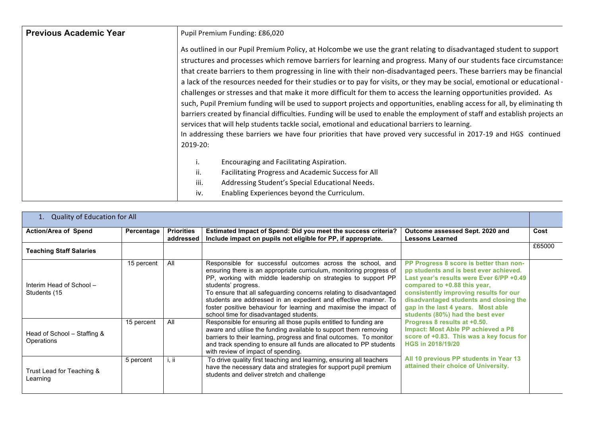| <b>Previous Academic Year</b> | Pupil Premium Funding: £86,020                                                                                                                                                                                                                                                                                                                                                                                                                                                                                                                                                                                                                                                                                                                                                                                                                                                                                                                                                                                                                                                                                      |
|-------------------------------|---------------------------------------------------------------------------------------------------------------------------------------------------------------------------------------------------------------------------------------------------------------------------------------------------------------------------------------------------------------------------------------------------------------------------------------------------------------------------------------------------------------------------------------------------------------------------------------------------------------------------------------------------------------------------------------------------------------------------------------------------------------------------------------------------------------------------------------------------------------------------------------------------------------------------------------------------------------------------------------------------------------------------------------------------------------------------------------------------------------------|
|                               | As outlined in our Pupil Premium Policy, at Holcombe we use the grant relating to disadvantaged student to support<br>structures and processes which remove barriers for learning and progress. Many of our students face circumstances<br>that create barriers to them progressing in line with their non-disadvantaged peers. These barriers may be financial<br>a lack of the resources needed for their studies or to pay for visits, or they may be social, emotional or educational -<br>challenges or stresses and that make it more difficult for them to access the learning opportunities provided. As<br>such, Pupil Premium funding will be used to support projects and opportunities, enabling access for all, by eliminating th<br>barriers created by financial difficulties. Funding will be used to enable the employment of staff and establish projects an<br>services that will help students tackle social, emotional and educational barriers to learning.<br>In addressing these barriers we have four priorities that have proved very successful in 2017-19 and HGS continued<br>2019-20: |
|                               | Encouraging and Facilitating Aspiration.<br>ii.<br>Facilitating Progress and Academic Success for All<br>iii.<br>Addressing Student's Special Educational Needs.<br>Enabling Experiences beyond the Curriculum.<br>iv.                                                                                                                                                                                                                                                                                                                                                                                                                                                                                                                                                                                                                                                                                                                                                                                                                                                                                              |

| <b>Quality of Education for All</b><br>1. |            |                                |                                                                                                                                                                                                                                                                                                                                                                                                                                                                                     |                                                                                                                                                                                                                                                                                                                                                                                                                                                                                                                                                                    |        |
|-------------------------------------------|------------|--------------------------------|-------------------------------------------------------------------------------------------------------------------------------------------------------------------------------------------------------------------------------------------------------------------------------------------------------------------------------------------------------------------------------------------------------------------------------------------------------------------------------------|--------------------------------------------------------------------------------------------------------------------------------------------------------------------------------------------------------------------------------------------------------------------------------------------------------------------------------------------------------------------------------------------------------------------------------------------------------------------------------------------------------------------------------------------------------------------|--------|
| <b>Action/Area of Spend</b>               | Percentage | <b>Priorities</b><br>addressed | Estimated Impact of Spend: Did you meet the success criteria?<br>Include impact on pupils not eligible for PP, if appropriate.                                                                                                                                                                                                                                                                                                                                                      | Outcome assessed Sept. 2020 and<br><b>Lessons Learned</b>                                                                                                                                                                                                                                                                                                                                                                                                                                                                                                          | Cost   |
| <b>Teaching Staff Salaries</b>            |            |                                |                                                                                                                                                                                                                                                                                                                                                                                                                                                                                     |                                                                                                                                                                                                                                                                                                                                                                                                                                                                                                                                                                    | £65000 |
| Interim Head of School -<br>Students (15  | 15 percent | All                            | Responsible for successful outcomes across the school, and<br>ensuring there is an appropriate curriculum, monitoring progress of<br>PP, working with middle leadership on strategies to support PP<br>students' progress.<br>To ensure that all safeguarding concerns relating to disadvantaged<br>students are addressed in an expedient and effective manner. To<br>foster positive behaviour for learning and maximise the impact of<br>school time for disadvantaged students. | PP Progress 8 score is better than non-<br>pp students and is best ever achieved.<br>Last year's results were Ever 6/PP +0.49<br>compared to +0.88 this year,<br>consistently improving results for our<br>disadvantaged students and closing the<br>gap in the last 4 years. Most able<br>students (80%) had the best ever<br>Progress 8 results at +0.50.<br><b>Impact: Most Able PP achieved a P8</b><br>score of +0.83. This was a key focus for<br><b>HGS in 2018/19/20</b><br>All 10 previous PP students in Year 13<br>attained their choice of University. |        |
| Head of School – Staffing &<br>Operations | 15 percent | All                            | Responsible for ensuring all those pupils entitled to funding are<br>aware and utilise the funding available to support them removing<br>barriers to their learning, progress and final outcomes. To monitor<br>and track spending to ensure all funds are allocated to PP students<br>with review of impact of spending.                                                                                                                                                           |                                                                                                                                                                                                                                                                                                                                                                                                                                                                                                                                                                    |        |
| Trust Lead for Teaching &<br>Learning     | 5 percent  | 1.11                           | To drive quality first teaching and learning, ensuring all teachers<br>have the necessary data and strategies for support pupil premium<br>students and deliver stretch and challenge                                                                                                                                                                                                                                                                                               |                                                                                                                                                                                                                                                                                                                                                                                                                                                                                                                                                                    |        |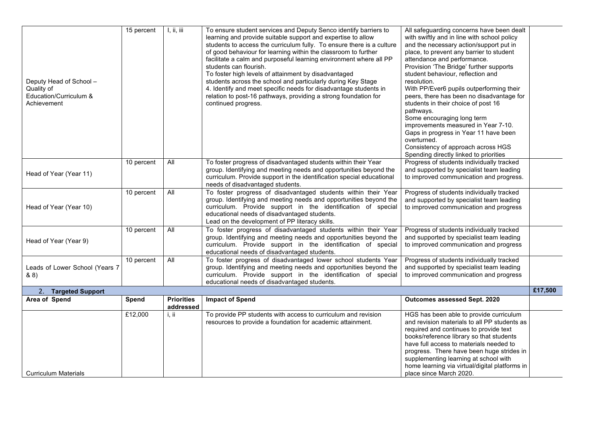| Deputy Head of School -<br>Quality of<br>Education/Curriculum &<br>Achievement | 15 percent | I, ii, iii                     | To ensure student services and Deputy Senco identify barriers to<br>learning and provide suitable support and expertise to allow<br>students to access the curriculum fully. To ensure there is a culture<br>of good behaviour for learning within the classroom to further<br>facilitate a calm and purposeful learning environment where all PP<br>students can flourish.<br>To foster high levels of attainment by disadvantaged<br>students across the school and particularly during Key Stage<br>4. Identify and meet specific needs for disadvantage students in<br>relation to post-16 pathways, providing a strong foundation for<br>continued progress. | All safeguarding concerns have been dealt<br>with swiftly and in line with school policy<br>and the necessary action/support put in<br>place, to prevent any barrier to student<br>attendance and performance.<br>Provision 'The Bridge' further supports<br>student behaviour, reflection and<br>resolution.<br>With PP/Ever6 pupils outperforming their<br>peers, there has been no disadvantage for<br>students in their choice of post 16<br>pathways.<br>Some encouraging long term<br>improvements measured in Year 7-10.<br>Gaps in progress in Year 11 have been<br>overturned.<br>Consistency of approach across HGS<br>Spending directly linked to priorities |         |
|--------------------------------------------------------------------------------|------------|--------------------------------|-------------------------------------------------------------------------------------------------------------------------------------------------------------------------------------------------------------------------------------------------------------------------------------------------------------------------------------------------------------------------------------------------------------------------------------------------------------------------------------------------------------------------------------------------------------------------------------------------------------------------------------------------------------------|-------------------------------------------------------------------------------------------------------------------------------------------------------------------------------------------------------------------------------------------------------------------------------------------------------------------------------------------------------------------------------------------------------------------------------------------------------------------------------------------------------------------------------------------------------------------------------------------------------------------------------------------------------------------------|---------|
| Head of Year (Year 11)                                                         | 10 percent | All                            | To foster progress of disadvantaged students within their Year<br>group. Identifying and meeting needs and opportunities beyond the<br>curriculum. Provide support in the identification special educational<br>needs of disadvantaged students.                                                                                                                                                                                                                                                                                                                                                                                                                  | Progress of students individually tracked<br>and supported by specialist team leading<br>to improved communication and progress.                                                                                                                                                                                                                                                                                                                                                                                                                                                                                                                                        |         |
| Head of Year (Year 10)                                                         | 10 percent | All                            | To foster progress of disadvantaged students within their Year<br>group. Identifying and meeting needs and opportunities beyond the<br>curriculum. Provide support in the identification of special<br>educational needs of disadvantaged students.<br>Lead on the development of PP literacy skills.                                                                                                                                                                                                                                                                                                                                                             | Progress of students individually tracked<br>and supported by specialist team leading<br>to improved communication and progress                                                                                                                                                                                                                                                                                                                                                                                                                                                                                                                                         |         |
| Head of Year (Year 9)                                                          | 10 percent | All                            | To foster progress of disadvantaged students within their Year<br>group. Identifying and meeting needs and opportunities beyond the<br>curriculum. Provide support in the identification of special<br>educational needs of disadvantaged students.                                                                                                                                                                                                                                                                                                                                                                                                               | Progress of students individually tracked<br>and supported by specialist team leading<br>to improved communication and progress                                                                                                                                                                                                                                                                                                                                                                                                                                                                                                                                         |         |
| Leads of Lower School (Years 7<br>88)                                          | 10 percent | All                            | To foster progress of disadvantaged lower school students Year<br>group. Identifying and meeting needs and opportunities beyond the<br>curriculum. Provide support in the identification of special<br>educational needs of disadvantaged students.                                                                                                                                                                                                                                                                                                                                                                                                               | Progress of students individually tracked<br>and supported by specialist team leading<br>to improved communication and progress                                                                                                                                                                                                                                                                                                                                                                                                                                                                                                                                         |         |
| 2. Targeted Support                                                            |            |                                |                                                                                                                                                                                                                                                                                                                                                                                                                                                                                                                                                                                                                                                                   |                                                                                                                                                                                                                                                                                                                                                                                                                                                                                                                                                                                                                                                                         | £17,500 |
| Area of Spend                                                                  | Spend      | <b>Priorities</b><br>addressed | <b>Impact of Spend</b>                                                                                                                                                                                                                                                                                                                                                                                                                                                                                                                                                                                                                                            | Outcomes assessed Sept. 2020                                                                                                                                                                                                                                                                                                                                                                                                                                                                                                                                                                                                                                            |         |
| <b>Curriculum Materials</b>                                                    | £12,000    | i, ii                          | To provide PP students with access to curriculum and revision<br>resources to provide a foundation for academic attainment.                                                                                                                                                                                                                                                                                                                                                                                                                                                                                                                                       | HGS has been able to provide curriculum<br>and revision materials to all PP students as<br>required and continues to provide text<br>books/reference library so that students<br>have full access to materials needed to<br>progress. There have been huge strides in<br>supplementing learning at school with<br>home learning via virtual/digital platforms in<br>place since March 2020.                                                                                                                                                                                                                                                                             |         |